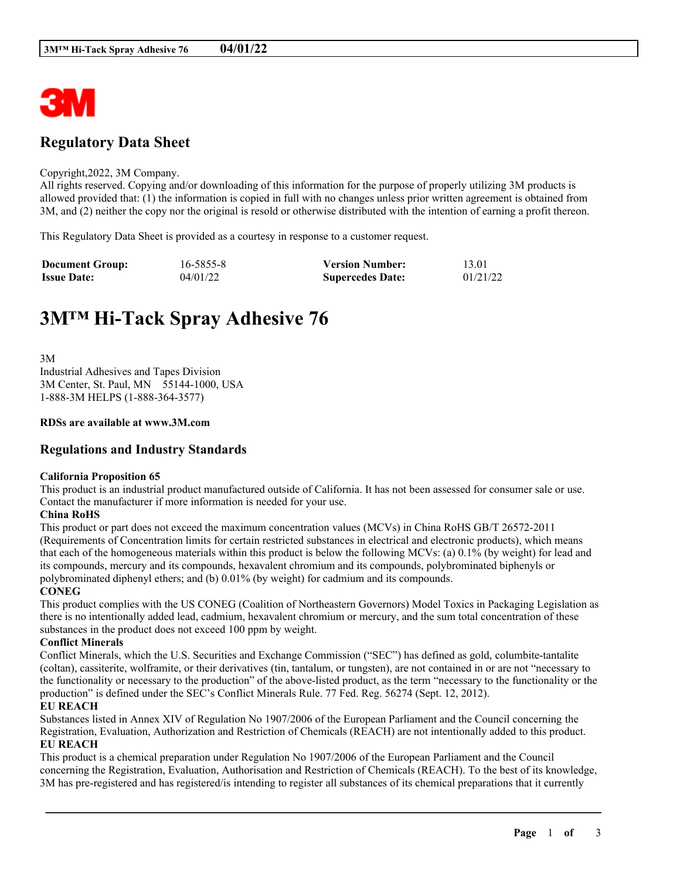

# **Regulatory Data Sheet**

#### Copyright,2022, 3M Company.

All rights reserved. Copying and/or downloading of this information for the purpose of properly utilizing 3M products is allowed provided that: (1) the information is copied in full with no changes unless prior written agreement is obtained from 3M, and (2) neither the copy nor the original is resold or otherwise distributed with the intention of earning a profit thereon.

This Regulatory Data Sheet is provided as a courtesy in response to a customer request.

| <b>Document Group:</b> | 16-5855-8 | <b>Version Number:</b>  | 13.01    |
|------------------------|-----------|-------------------------|----------|
| <b>Issue Date:</b>     | 04/01/22  | <b>Supercedes Date:</b> | 01/21/22 |

# **3M™ Hi-Tack Spray Adhesive 76**

3M Industrial Adhesives and Tapes Division 3M Center, St. Paul, MN 55144-1000, USA 1-888-3M HELPS (1-888-364-3577)

#### **RDSs are available at www.3M.com**

# **Regulations and Industry Standards**

#### **California Proposition 65**

This product is an industrial product manufactured outside of California. It has not been assessed for consumer sale or use. Contact the manufacturer if more information is needed for your use.

#### **China RoHS**

This product or part does not exceed the maximum concentration values (MCVs) in China RoHS GB/T 26572-2011 (Requirements of Concentration limits for certain restricted substances in electrical and electronic products), which means that each of the homogeneous materials within this product is below the following MCVs: (a) 0.1% (by weight) for lead and its compounds, mercury and its compounds, hexavalent chromium and its compounds, polybrominated biphenyls or polybrominated diphenyl ethers; and (b) 0.01% (by weight) for cadmium and its compounds.

#### **CONEG**

This product complies with the US CONEG (Coalition of Northeastern Governors) Model Toxics in Packaging Legislation as there is no intentionally added lead, cadmium, hexavalent chromium or mercury, and the sum total concentration of these substances in the product does not exceed 100 ppm by weight.

## **Conflict Minerals**

Conflict Minerals, which the U.S. Securities and Exchange Commission ("SEC") has defined as gold, columbite-tantalite (coltan), cassiterite, wolframite, or their derivatives (tin, tantalum, or tungsten), are not contained in or are not "necessary to the functionality or necessary to the production" of the above-listed product, as the term "necessary to the functionality or the production" is defined under the SEC's Conflict Minerals Rule. 77 Fed. Reg. 56274 (Sept. 12, 2012).

#### **EU REACH**

Substances listed in Annex XIV of Regulation No 1907/2006 of the European Parliament and the Council concerning the Registration, Evaluation, Authorization and Restriction of Chemicals (REACH) are not intentionally added to this product. **EU REACH**

This product is a chemical preparation under Regulation No 1907/2006 of the European Parliament and the Council concerning the Registration, Evaluation, Authorisation and Restriction of Chemicals (REACH). To the best of its knowledge, 3M has pre-registered and has registered/is intending to register all substances of its chemical preparations that it currently

\_\_\_\_\_\_\_\_\_\_\_\_\_\_\_\_\_\_\_\_\_\_\_\_\_\_\_\_\_\_\_\_\_\_\_\_\_\_\_\_\_\_\_\_\_\_\_\_\_\_\_\_\_\_\_\_\_\_\_\_\_\_\_\_\_\_\_\_\_\_\_\_\_\_\_\_\_\_\_\_\_\_\_\_\_\_\_\_\_\_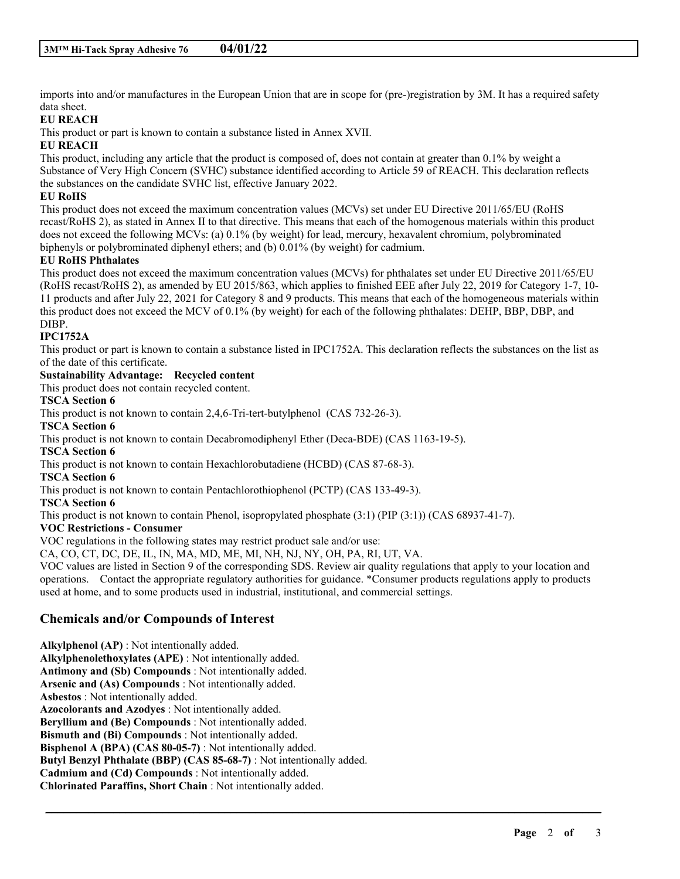imports into and/or manufactures in the European Union that are in scope for (pre-)registration by 3M. It has a required safety data sheet.

# **EU REACH**

This product or part is known to contain a substance listed in Annex XVII.

## **EU REACH**

This product, including any article that the product is composed of, does not contain at greater than 0.1% by weight a Substance of Very High Concern (SVHC) substance identified according to Article 59 of REACH. This declaration reflects the substances on the candidate SVHC list, effective January 2022.

## **EU RoHS**

This product does not exceed the maximum concentration values (MCVs) set under EU Directive 2011/65/EU (RoHS recast/RoHS 2), as stated in Annex II to that directive. This means that each of the homogenous materials within this product does not exceed the following MCVs: (a) 0.1% (by weight) for lead, mercury, hexavalent chromium, polybrominated biphenyls or polybrominated diphenyl ethers; and (b) 0.01% (by weight) for cadmium.

## **EU RoHS Phthalates**

This product does not exceed the maximum concentration values (MCVs) for phthalates set under EU Directive 2011/65/EU (RoHS recast/RoHS 2), as amended by EU 2015/863, which applies to finished EEE after July 22, 2019 for Category 1-7, 10- 11 products and after July 22, 2021 for Category 8 and 9 products. This means that each of the homogeneous materials within this product does not exceed the MCV of 0.1% (by weight) for each of the following phthalates: DEHP, BBP, DBP, and DIBP.

## **IPC1752A**

This product or part is known to contain a substance listed in IPC1752A. This declaration reflects the substances on the list as of the date of this certificate.

## **Sustainability Advantage: Recycled content**

This product does not contain recycled content.

#### **TSCA Section 6**

This product is not known to contain 2,4,6-Tri-tert-butylphenol (CAS 732-26-3).

**TSCA Section 6**

This product is not known to contain Decabromodiphenyl Ether (Deca-BDE) (CAS 1163-19-5).

# **TSCA Section 6**

This product is not known to contain Hexachlorobutadiene (HCBD) (CAS 87-68-3).

#### **TSCA Section 6**

This product is not known to contain Pentachlorothiophenol (PCTP) (CAS 133-49-3).

# **TSCA Section 6**

This product is not known to contain Phenol, isopropylated phosphate (3:1) (PIP (3:1)) (CAS 68937-41-7).

## **VOC Restrictions - Consumer**

VOC regulations in the following states may restrict product sale and/or use:

CA, CO, CT, DC, DE, IL, IN, MA, MD, ME, MI, NH, NJ, NY, OH, PA, RI, UT, VA.

VOC values are listed in Section 9 of the corresponding SDS. Review air quality regulations that apply to your location and operations. Contact the appropriate regulatory authorities for guidance. \*Consumer products regulations apply to products used at home, and to some products used in industrial, institutional, and commercial settings.

\_\_\_\_\_\_\_\_\_\_\_\_\_\_\_\_\_\_\_\_\_\_\_\_\_\_\_\_\_\_\_\_\_\_\_\_\_\_\_\_\_\_\_\_\_\_\_\_\_\_\_\_\_\_\_\_\_\_\_\_\_\_\_\_\_\_\_\_\_\_\_\_\_\_\_\_\_\_\_\_\_\_\_\_\_\_\_\_\_\_

# **Chemicals and/or Compounds of Interest**

**Alkylphenol (AP)** : Not intentionally added. **Alkylphenolethoxylates (APE)** : Not intentionally added. **Antimony and (Sb) Compounds** : Not intentionally added. **Arsenic and (As) Compounds** : Not intentionally added. **Asbestos** : Not intentionally added. **Azocolorants and Azodyes** : Not intentionally added. **Beryllium and (Be) Compounds** : Not intentionally added. **Bismuth and (Bi) Compounds** : Not intentionally added. **Bisphenol A (BPA) (CAS 80-05-7)** : Not intentionally added. **Butyl Benzyl Phthalate (BBP) (CAS 85-68-7)** : Not intentionally added. **Cadmium and (Cd) Compounds** : Not intentionally added. **Chlorinated Paraffins, Short Chain** : Not intentionally added.